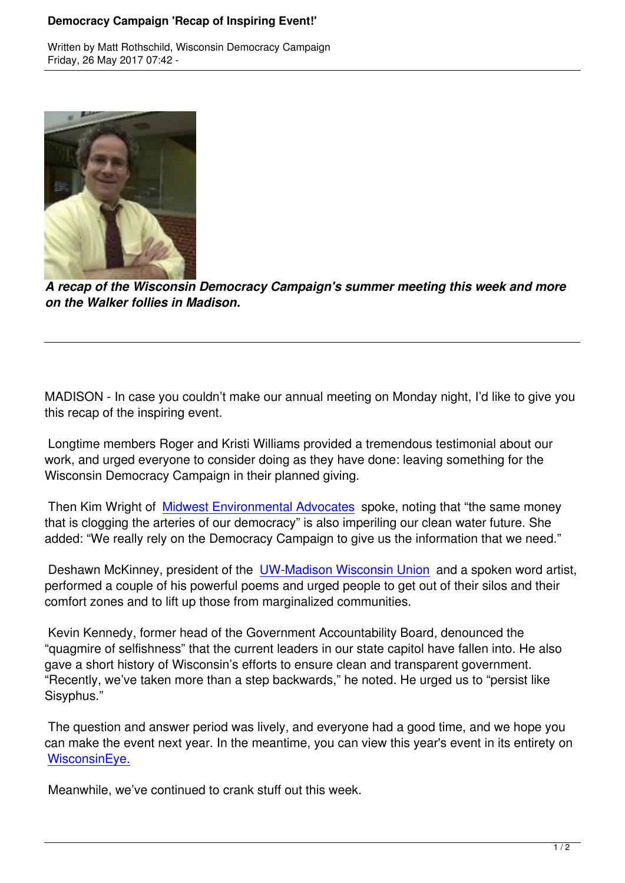

*A recap of the Wisconsin Democracy Campaign's summer meeting this week and more on the Walker follies in Madison.*

MADISON - In case you couldn't make our annual meeting on Monday night, I'd like to give you this recap of the inspiring event.

 Longtime members Roger and Kristi Williams provided a tremendous testimonial about our work, and urged everyone to consider doing as they have done: leaving something for the Wisconsin Democracy Campaign in their planned giving.

Then Kim Wright of Midwest Environmental Advocates spoke, noting that "the same money that is clogging the arteries of our democracy" is also imperiling our clean water future. She added: "We really rely on the Democracy Campaign to give us the information that we need."

Deshawn McKinney, president of the [UW-Madison Wis](http://wisdc.clearsender.com/tracker.php?link=-105708745::7466::2895256)consin Union and a spoken word artist, performed a couple of his powerful poems and urged people to get out of their silos and their comfort zones and to lift up those from marginalized communities.

 Kevin Kennedy, former head of the G[overnment Accountability Board](http://wisdc.clearsender.com/tracker.php?link=666800010::7475::2895256), denounced the "quagmire of selfishness" that the current leaders in our state capitol have fallen into. He also gave a short history of Wisconsin's efforts to ensure clean and transparent government. "Recently, we've taken more than a step backwards," he noted. He urged us to "persist like Sisyphus."

 The question and answer period was lively, and everyone had a good time, and we hope you can make the event next year. In the meantime, you can view this year's event in its entirety on WisconsinEye.

Meanwhile, we've continued to crank stuff out this week.